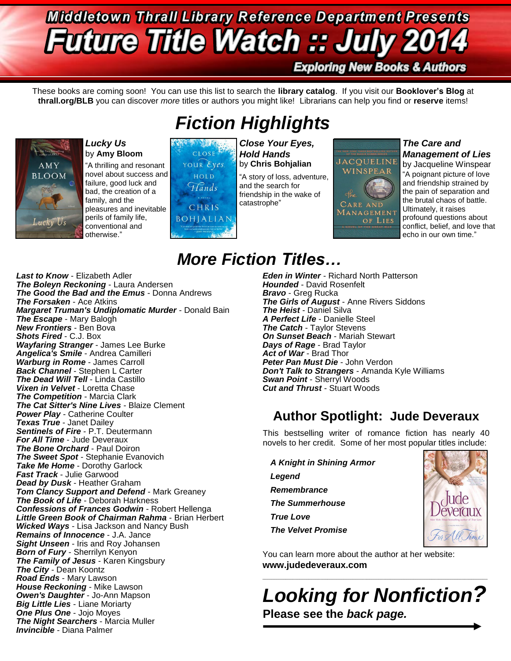# **Middletown Thrall Library Reference Department Presents Future Title Watch :: July 2**

### **Exploring New Books & Authors**

These books are coming soon! You can use this list to search the **library catalog**. If you visit our **Booklover's Blog** at **thrall.org/BLB** you can discover *more* titles or authors you might like! Librarians can help you find or **reserve** items!



#### *Lucky Us* by **Amy Bloom**

"A thrilling and resonant novel about success and failure, good luck and bad, the creation of a family, and the pleasures and inevitable perils of family life, conventional and otherwise."



### *Fiction Highlights* Martin .. *Close Your Eyes,*

*Hold Hands* by **Chris Bohjalian**

"A story of loss, adventure, and the search for friendship in the wake of catastrophe"



### *The Care and Management of Lies*

by Jacqueline Winspear "A poignant picture of love and friendship strained by the pain of separation and the brutal chaos of battle. Ultimately, it raises profound questions about conflict, belief, and love that echo in our own time."

## *More Fiction Titles…*

*Last to Know* - Elizabeth Adler *The Boleyn Reckoning* - Laura Andersen *The Good the Bad and the Emus* - Donna Andrews *The Forsaken* - Ace Atkins *Margaret Truman's Undiplomatic Murder* - Donald Bain *The Escape* - Mary Balogh *New Frontiers* - Ben Bova *Shots Fired* - C.J. Box *Wayfaring Stranger* - James Lee Burke *Angelica's Smile* - Andrea Camilleri *Warburg in Rome* - James Carroll *Back Channel* - Stephen L Carter *The Dead Will Tell* - Linda Castillo *Vixen in Velvet* - Loretta Chase *The Competition* - Marcia Clark *The Cat Sitter's Nine Lives* - Blaize Clement *Power Play* - Catherine Coulter *Texas True* - Janet Dailey Sentinels of Fire - P.T. Deutermann *For All Time* - Jude Deveraux *The Bone Orchard* - Paul Doiron *The Sweet Spot* - Stephanie Evanovich *Take Me Home* - Dorothy Garlock *Fast Track* - Julie Garwood *Dead by Dusk* - Heather Graham *Tom Clancy Support and Defend* - Mark Greaney *The Book of Life* - Deborah Harkness *Confessions of Frances Godwin* - Robert Hellenga *Little Green Book of Chairman Rahma* - Brian Herbert *Wicked Ways* - Lisa Jackson and Nancy Bush *Remains of Innocence* - J.A. Jance *Sight Unseen* - Iris and Roy Johansen *Born of Fury* - Sherrilyn Kenyon *The Family of Jesus* - Karen Kingsbury *The City* - Dean Koontz *Road Ends* - Mary Lawson *House Reckoning* - Mike Lawson *Owen's Daughter* - Jo-Ann Mapson *Big Little Lies* - Liane Moriarty *One Plus One* - Jojo Moyes *The Night Searchers* - Marcia Muller *Invincible* - Diana Palmer

*Eden in Winter* - Richard North Patterson *Hounded* - David Rosenfelt *Bravo* - Greg Rucka *The Girls of August* - Anne Rivers Siddons *The Heist* - Daniel Silva *A Perfect Life* - Danielle Steel *The Catch - Taylor Stevens On Sunset Beach* - Mariah Stewart *Days of Rage* - Brad Taylor *Act of War* - Brad Thor

*Peter Pan Must Die* - John Verdon *Don't Talk to Strangers* - Amanda Kyle Williams *Swan Point* - Sherryl Woods *Cut and Thrust - Stuart Woods* 

### **Author Spotlight: Jude Deveraux**

This bestselling writer of romance fiction has nearly 40 novels to her credit. Some of her most popular titles include:

*A Knight in Shining Armor Legend Remembrance The Summerhouse True Love The Velvet Promise*



You can learn more about the author at her website: **www.judedeveraux.com**

*Looking for Nonfiction?* **Please see the** *back page.*

 $\_$  ,  $\_$  ,  $\_$  ,  $\_$  ,  $\_$  ,  $\_$  ,  $\_$  ,  $\_$  ,  $\_$  ,  $\_$  ,  $\_$  ,  $\_$  ,  $\_$  ,  $\_$  ,  $\_$  ,  $\_$  ,  $\_$  ,  $\_$  ,  $\_$  ,  $\_$  ,  $\_$  ,  $\_$  ,  $\_$  ,  $\_$  ,  $\_$  ,  $\_$  ,  $\_$  ,  $\_$  ,  $\_$  ,  $\_$  ,  $\_$  ,  $\_$  ,  $\_$  ,  $\_$  ,  $\_$  ,  $\_$  ,  $\_$  ,